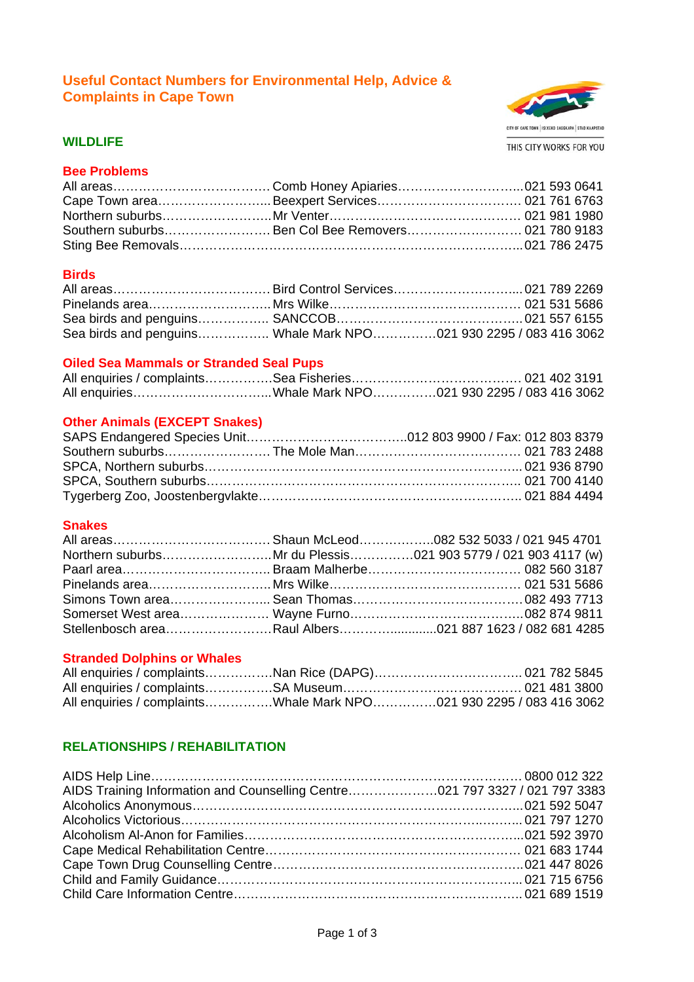# **Useful Contact Numbers for Environmental Help, Advice & Complaints in Cape Town**



#### **WILDLIFE**

### **Bee Problems**

| Southern suburbs Ben Col Bee Removers 021 780 9183 |  |
|----------------------------------------------------|--|
|                                                    |  |

### **Birds**

| Sea birds and penguins Whale Mark NPO021 930 2295 / 083 416 3062 |  |  |
|------------------------------------------------------------------|--|--|

#### **Oiled Sea Mammals or Stranded Seal Pups**

### **Other Animals (EXCEPT Snakes)**

### **Snakes**

| Stellenbosch areaRaul Albers021 887 1623 / 082 681 4285 |  |
|---------------------------------------------------------|--|

#### **Stranded Dolphins or Whales**

|  | All enquiries / complaintsWhale Mark NPO021 930 2295 / 083 416 3062 |
|--|---------------------------------------------------------------------|

# **RELATIONSHIPS / REHABILITATION**

| AIDS Training Information and Counselling Centre021 797 3327 / 021 797 3383 |  |
|-----------------------------------------------------------------------------|--|
|                                                                             |  |
|                                                                             |  |
|                                                                             |  |
|                                                                             |  |
|                                                                             |  |
|                                                                             |  |
|                                                                             |  |
|                                                                             |  |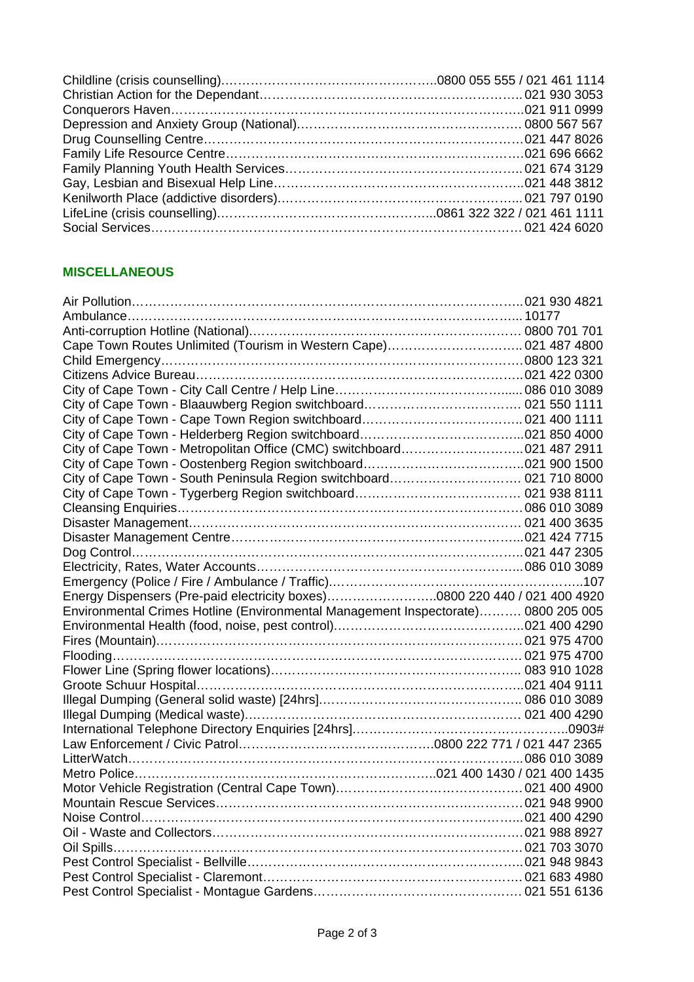# **MISCELLANEOUS**

| Cape Town Routes Unlimited (Tourism in Western Cape) 021 487 4800                 |  |
|-----------------------------------------------------------------------------------|--|
|                                                                                   |  |
|                                                                                   |  |
|                                                                                   |  |
|                                                                                   |  |
|                                                                                   |  |
|                                                                                   |  |
| City of Cape Town - Metropolitan Office (CMC) switchboard021 487 2911             |  |
|                                                                                   |  |
| City of Cape Town - South Peninsula Region switchboard 021 710 8000               |  |
|                                                                                   |  |
|                                                                                   |  |
|                                                                                   |  |
|                                                                                   |  |
|                                                                                   |  |
|                                                                                   |  |
|                                                                                   |  |
| Energy Dispensers (Pre-paid electricity boxes)0800 220 440 / 021 400 4920         |  |
|                                                                                   |  |
| Environmental Crimes Hotline (Environmental Management Inspectorate) 0800 205 005 |  |
|                                                                                   |  |
|                                                                                   |  |
|                                                                                   |  |
|                                                                                   |  |
|                                                                                   |  |
|                                                                                   |  |
|                                                                                   |  |
|                                                                                   |  |
|                                                                                   |  |
|                                                                                   |  |
|                                                                                   |  |
|                                                                                   |  |
|                                                                                   |  |
|                                                                                   |  |
|                                                                                   |  |
|                                                                                   |  |
|                                                                                   |  |
|                                                                                   |  |